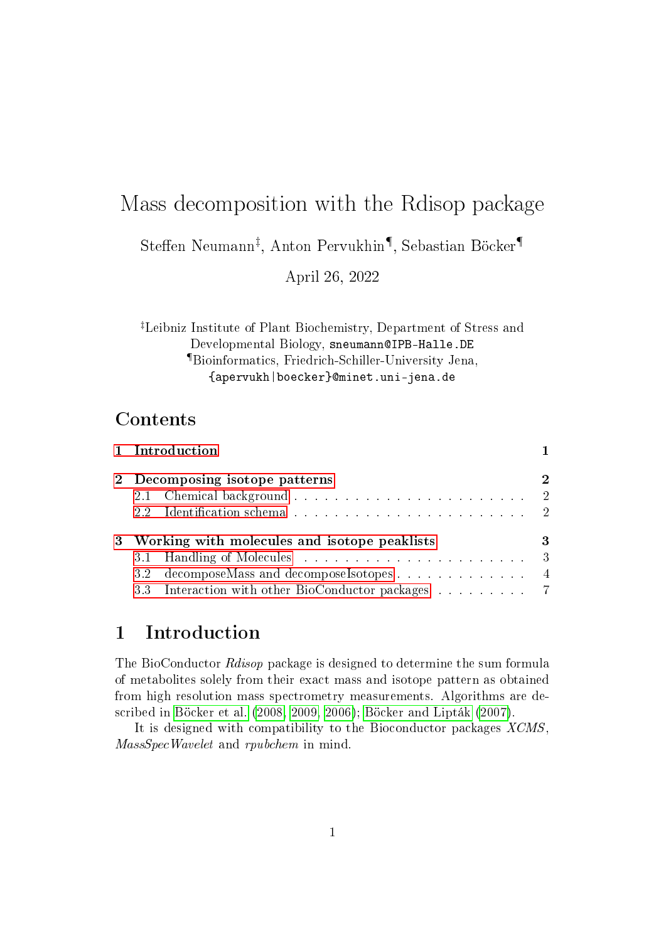# Mass decomposition with the Rdisop package

 $\mathsf{Steffen}$  Neumann<sup>‡</sup>, Anton Pervukhin¶, Sebastian Böcker¶

April 26, 2022

‡Leibniz Institute of Plant Biochemistry, Department of Stress and Developmental Biology, sneumann@IPB-Halle.DE ¶Bioinformatics, Friedrich-Schiller-University Jena, {apervukh|boecker}@minet.uni-jena.de

## Contents

| 1 Introduction                                     |              |
|----------------------------------------------------|--------------|
| 2 Decomposing isotope patterns                     |              |
|                                                    |              |
| 3 Working with molecules and isotope peaklists     | 3            |
|                                                    | $\mathbf{3}$ |
| 3.2 decomposeMass and decomposeIsotopes 4          |              |
| 3.3 Interaction with other BioConductor packages 7 |              |

# <span id="page-0-0"></span>1 Introduction

The BioConductor Rdisop package is designed to determine the sum formula of metabolites solely from their exact mass and isotope pattern as obtained from high resolution mass spectrometry measurements. Algorithms are described in [Böcker et al.](#page-7-0) [\(2008,](#page-7-0) [2009,](#page-7-1) [2006\)](#page-7-2); [Böcker and Lipták](#page-7-3) [\(2007\)](#page-7-3).

It is designed with compatibility to the Bioconductor packages XCMS, MassSpecWavelet and rpubchem in mind.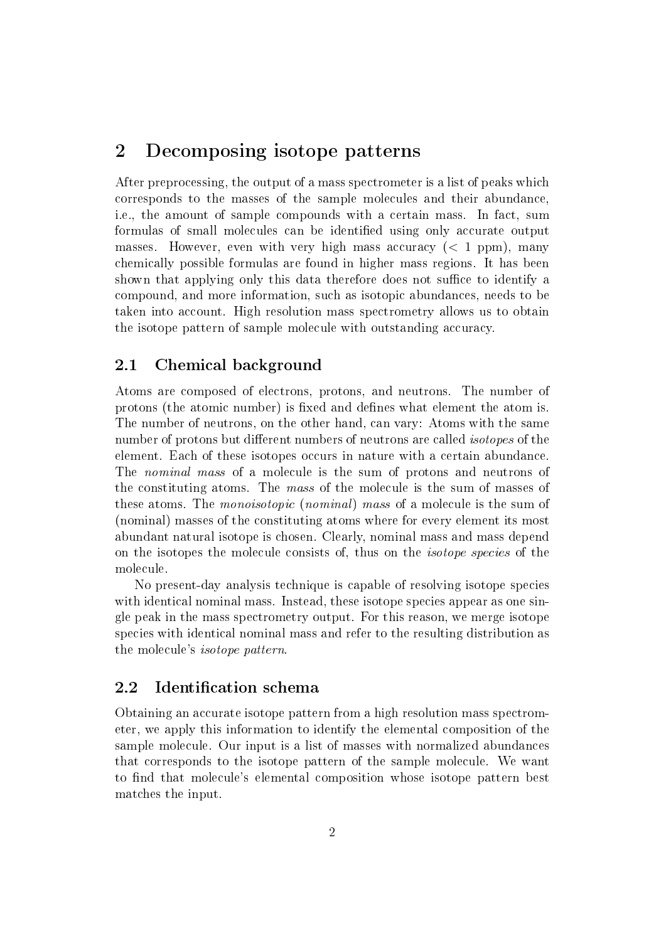## <span id="page-1-0"></span>2 Decomposing isotope patterns

After preprocessing, the output of a mass spectrometer is a list of peaks which corresponds to the masses of the sample molecules and their abundance, i.e., the amount of sample compounds with a certain mass. In fact, sum formulas of small molecules can be identified using only accurate output masses. However, even with very high mass accuracy  $(< 1$  ppm), many chemically possible formulas are found in higher mass regions. It has been shown that applying only this data therefore does not suffice to identify a compound, and more information, such as isotopic abundances, needs to be taken into account. High resolution mass spectrometry allows us to obtain the isotope pattern of sample molecule with outstanding accuracy.

### <span id="page-1-1"></span>2.1 Chemical background

Atoms are composed of electrons, protons, and neutrons. The number of protons (the atomic number) is fixed and defines what element the atom is. The number of neutrons, on the other hand, can vary: Atoms with the same number of protons but different numbers of neutrons are called *isotopes* of the element. Each of these isotopes occurs in nature with a certain abundance. The nominal mass of a molecule is the sum of protons and neutrons of the constituting atoms. The mass of the molecule is the sum of masses of these atoms. The *monoisotopic* (*nominal*) mass of a molecule is the sum of (nominal) masses of the constituting atoms where for every element its most abundant natural isotope is chosen. Clearly, nominal mass and mass depend on the isotopes the molecule consists of, thus on the isotope species of the molecule.

No present-day analysis technique is capable of resolving isotope species with identical nominal mass. Instead, these isotope species appear as one single peak in the mass spectrometry output. For this reason, we merge isotope species with identical nominal mass and refer to the resulting distribution as the molecule's isotope pattern.

### <span id="page-1-2"></span>2.2 Identification schema

Obtaining an accurate isotope pattern from a high resolution mass spectrometer, we apply this information to identify the elemental composition of the sample molecule. Our input is a list of masses with normalized abundances that corresponds to the isotope pattern of the sample molecule. We want to find that molecule's elemental composition whose isotope pattern best matches the input.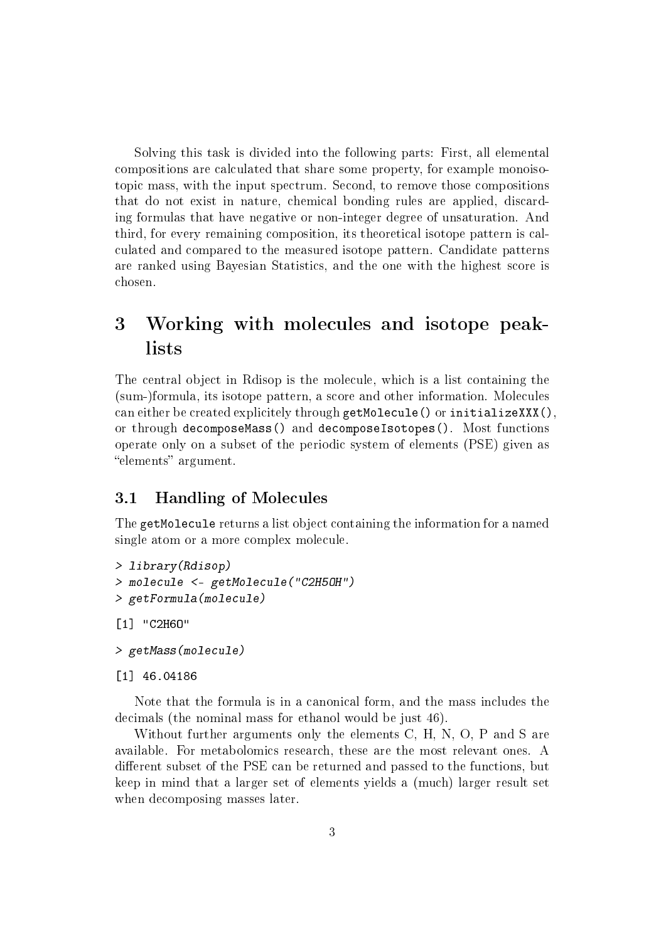Solving this task is divided into the following parts: First, all elemental compositions are calculated that share some property, for example monoisotopic mass, with the input spectrum. Second, to remove those compositions that do not exist in nature, chemical bonding rules are applied, discarding formulas that have negative or non-integer degree of unsaturation. And third, for every remaining composition, its theoretical isotope pattern is calculated and compared to the measured isotope pattern. Candidate patterns are ranked using Bayesian Statistics, and the one with the highest score is chosen.

# <span id="page-2-0"></span>3 Working with molecules and isotope peaklists

The central object in Rdisop is the molecule, which is a list containing the (sum-)formula, its isotope pattern, a score and other information. Molecules can either be created explicitely through getMolecule() or initializeXXX(), or through decomposeMass() and decomposeIsotopes(). Most functions operate only on a subset of the periodic system of elements (PSE) given as "elements" argument.

### <span id="page-2-1"></span>3.1 Handling of Molecules

The getMolecule returns a list object containing the information for a named single atom or a more complex molecule.

```
> library(Rdisop)
> molecule <- getMolecule("C2H5OH")
> getFormula(molecule)
```

```
[1] "C2H6O"
```

```
> getMass(molecule)
```

```
[1] 46.04186
```
Note that the formula is in a canonical form, and the mass includes the decimals (the nominal mass for ethanol would be just 46).

Without further arguments only the elements C, H, N, O, P and S are available. For metabolomics research, these are the most relevant ones. A different subset of the PSE can be returned and passed to the functions, but keep in mind that a larger set of elements yields a (much) larger result set when decomposing masses later.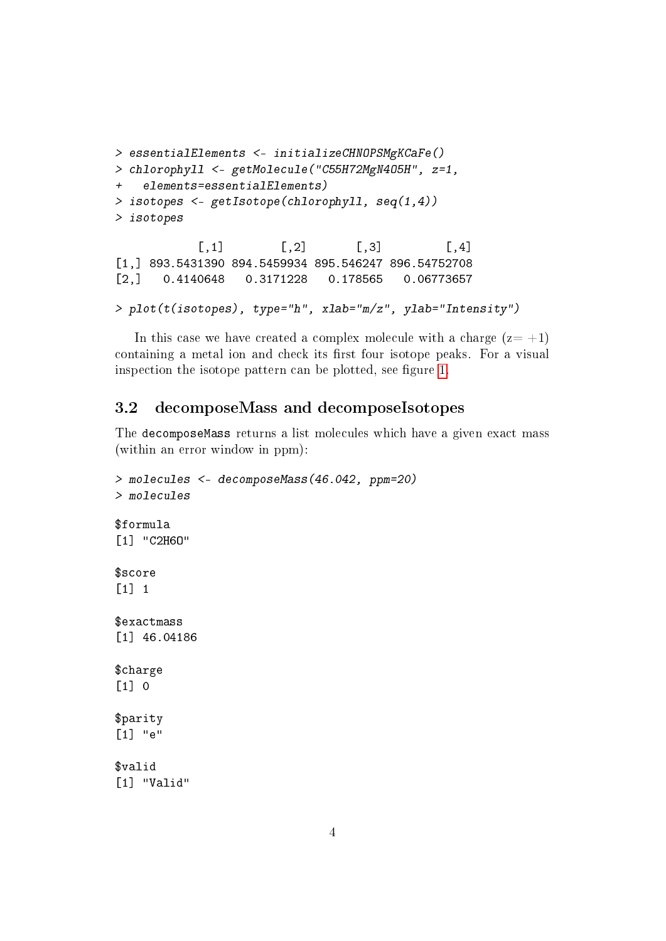```
> essentialElements <- initializeCHNOPSMgKCaFe()
> chlorophyll <- getMolecule("C55H72MgN4O5H", z=1,
+ elements=essentialElements)
> isotopes <- getIsotope(chlorophyll, seq(1,4))
> isotopes
           [0,1] [0,2] [0,3] [0,4][1,] 893.5431390 894.5459934 895.546247 896.54752708
[2,] 0.4140648 0.3171228 0.178565 0.06773657
> plot(t(isotopes), type="h", xlab="m/z", ylab="Intensity")
```
In this case we have created a complex molecule with a charge  $(z=+1)$ containing a metal ion and check its first four isotope peaks. For a visual inspection the isotope pattern can be plotted, see figure [1.](#page-4-0)

#### <span id="page-3-0"></span>3.2 decomposeMass and decomposeIsotopes

The decomposeMass returns a list molecules which have a given exact mass (within an error window in ppm):

```
> molecules <- decomposeMass(46.042, ppm=20)
> molecules
$formula
[1] "C2H6O"
$score
[1] 1
$exactmass
[1] 46.04186
$charge
[1] 0
$parity
[1] "e"
$valid
[1] "Valid"
```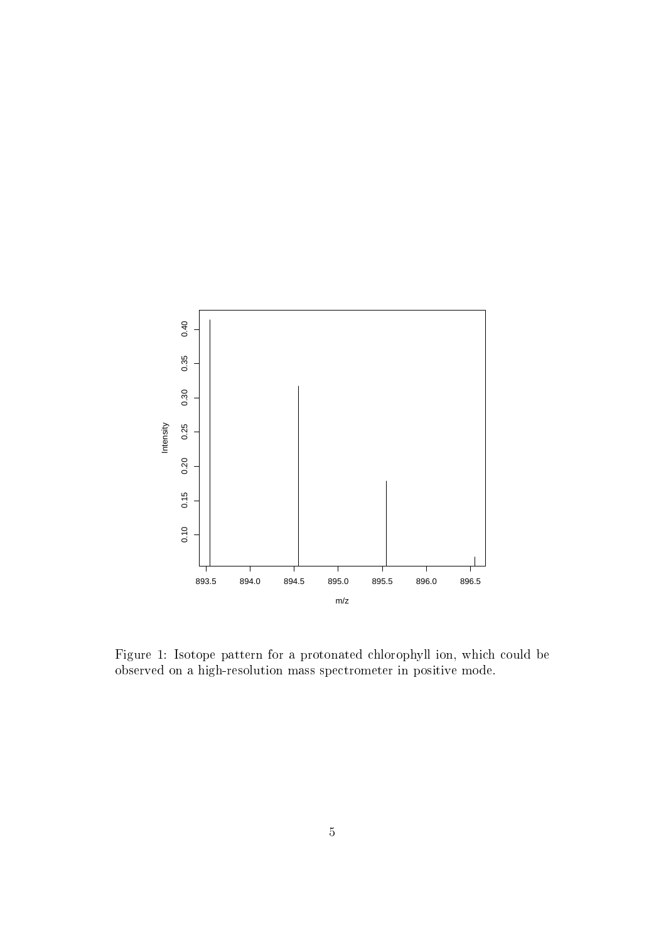

<span id="page-4-0"></span>Figure 1: Isotope pattern for a protonated chlorophyll ion, which could be observed on a high-resolution mass spectrometer in positive mode.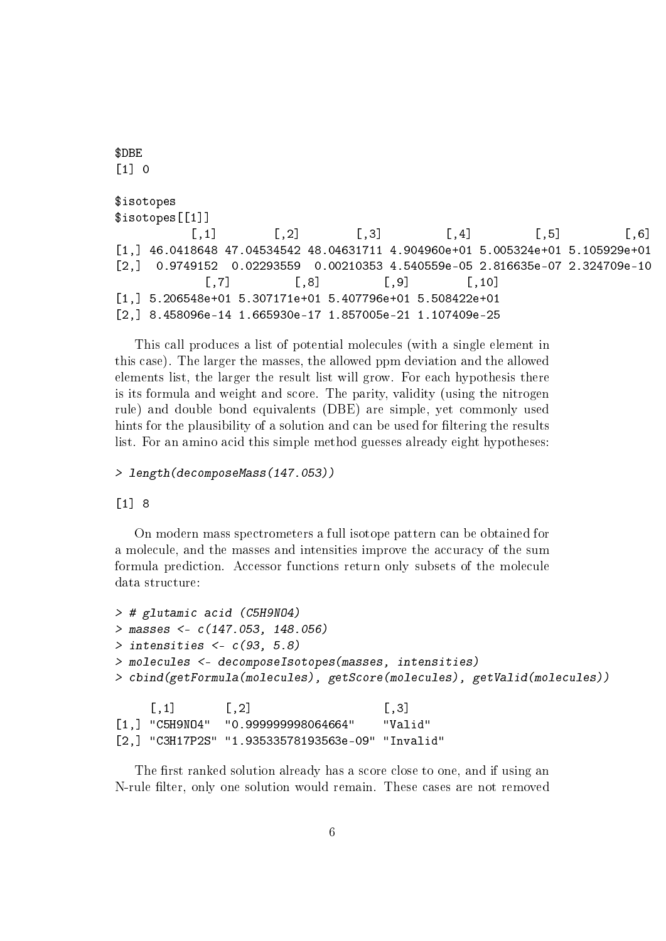```
$DBE
\lceil 1 \rceil 0
$isotopes
$isotopes[[1]]
         [0,1] [0,2] [0,3] [0,4] [0,5] [0,6][1,] 46.0418648 47.04534542 48.04631711 4.904960e+01 5.005324e+01 5.105929e+01
[2,] 0.9749152 0.02293559 0.00210353 4.540559e-05 2.816635e-07 2.324709e-10
           [7] [8] [9] [10][1,] 5.206548e+01 5.307171e+01 5.407796e+01 5.508422e+01
[2,] 8.458096e-14 1.665930e-17 1.857005e-21 1.107409e-25
```
This call produces a list of potential molecules (with a single element in this case). The larger the masses, the allowed ppm deviation and the allowed elements list, the larger the result list will grow. For each hypothesis there is its formula and weight and score. The parity, validity (using the nitrogen rule) and double bond equivalents (DBE) are simple, yet commonly used hints for the plausibility of a solution and can be used for filtering the results list. For an amino acid this simple method guesses already eight hypotheses:

#### > length(decomposeMass(147.053))

#### [1] 8

On modern mass spectrometers a full isotope pattern can be obtained for a molecule, and the masses and intensities improve the accuracy of the sum formula prediction. Accessor functions return only subsets of the molecule data structure:

```
> # glutamic acid (C5H9NO4)
> masses <- c(147.053, 148.056)
> intensities <- c(93, 5.8)
> molecules <- decomposeIsotopes(masses, intensities)
> cbind(getFormula(molecules), getScore(molecules), getValid(molecules))
    [ , 1] [ , 2] [ , 3][1,] "C5H9NO4" "0.999999998064664" "Valid"
```
[2,] "C3H17P2S" "1.93533578193563e-09" "Invalid"

The first ranked solution already has a score close to one, and if using an N-rule filter, only one solution would remain. These cases are not removed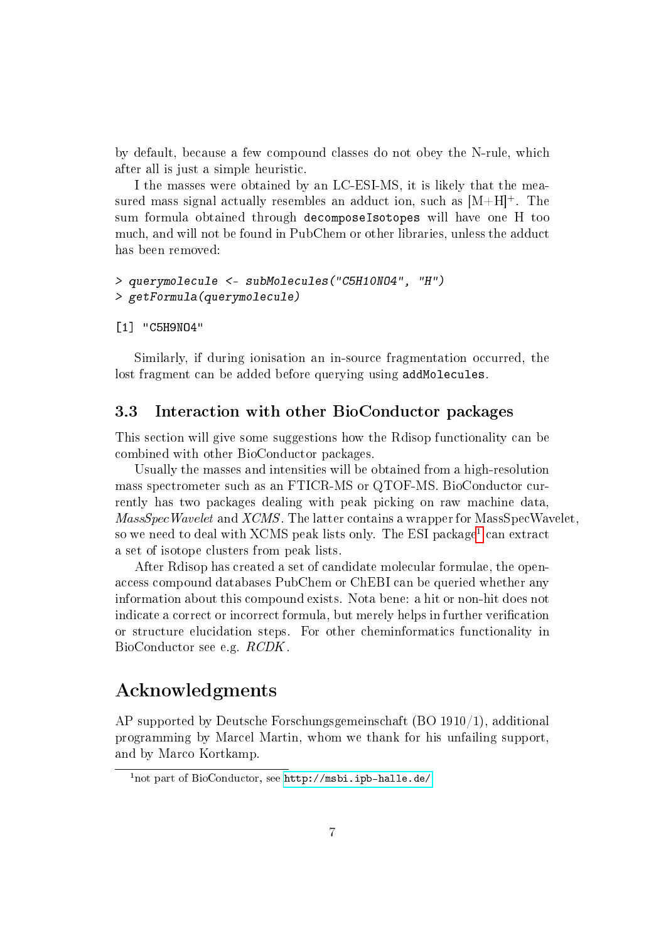by default, because a few compound classes do not obey the N-rule, which after all is just a simple heuristic.

I the masses were obtained by an LC-ESI-MS, it is likely that the measured mass signal actually resembles an adduct ion, such as  $[M+H]^+$ . The sum formula obtained through decomposeIsotopes will have one H too much, and will not be found in PubChem or other libraries, unless the adduct has been removed:

```
> querymolecule <- subMolecules("C5H10NO4", "H")
> getFormula(querymolecule)
```
[1] "C5H9NO4"

Similarly, if during ionisation an in-source fragmentation occurred, the lost fragment can be added before querying using addMolecules.

#### <span id="page-6-0"></span>3.3 Interaction with other BioConductor packages

This section will give some suggestions how the Rdisop functionality can be combined with other BioConductor packages.

Usually the masses and intensities will be obtained from a high-resolution mass spectrometer such as an FTICR-MS or QTOF-MS. BioConductor currently has two packages dealing with peak picking on raw machine data, MassSpecWavelet and XCMS. The latter contains a wrapper for MassSpecWavelet, so we need to deal with XCMS peak lists only. The ESI package $^{\rm l}$  can extract a set of isotope clusters from peak lists.

After Rdisop has created a set of candidate molecular formulae, the openaccess compound databases PubChem or ChEBI can be queried whether any information about this compound exists. Nota bene: a hit or non-hit does not indicate a correct or incorrect formula, but merely helps in further verification or structure elucidation steps. For other cheminformatics functionality in BioConductor see e.g. RCDK.

## Acknowledgments

AP supported by Deutsche Forschungsgemeinschaft (BO 1910/1), additional programming by Marcel Martin, whom we thank for his unfailing support, and by Marco Kortkamp.

<span id="page-6-1"></span> $1$ not part of BioConductor, see <http://msbi.ipb-halle.de/>